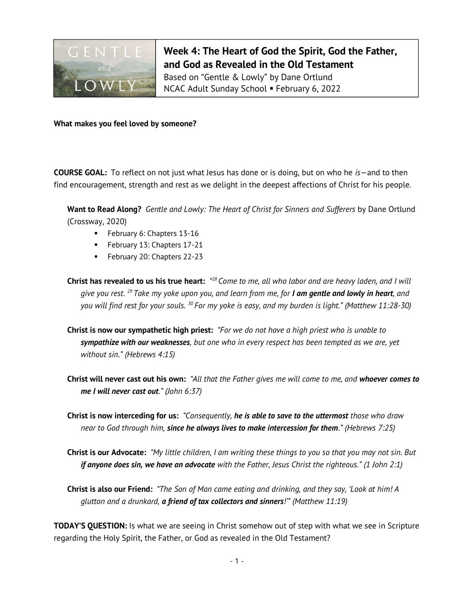

Week 4: The Heart of God the Spirit, God the Father, and God as Revealed in the Old Testament Based on "Gentle & Lowly" by Dane Ortlund NCAC Adult Sunday School February 6, 2022

What makes you feel loved by someone?

**COURSE GOAL:** To reflect on not just what Jesus has done or is doing, but on who he  $is$  – and to then find encouragement, strength and rest as we delight in the deepest affections of Christ for his people.

Want to Read Along? Gentle and Lowly: The Heart of Christ for Sinners and Sufferers by Dane Ortlund (Crossway, 2020)

- **February 6: Chapters 13-16**
- **February 13: Chapters 17-21**
- February 20: Chapters 22-23

**Christ has revealed to us his true heart:** "<sup>28</sup> Come to me, all who labor and are heavy laden, and I will give you rest. <sup>29</sup> Take my yoke upon you, and learn from me, for **I am gentle and lowly in heart**, and you will find rest for your souls.  $^{30}$  For my yoke is easy, and my burden is light." (Matthew 11:28-30)

- Christ is now our sympathetic high priest: "For we do not have a high priest who is unable to sympathize with our weaknesses, but one who in every respect has been tempted as we are, yet without sin." (Hebrews 4:15)
- Christ will never cast out his own: "All that the Father gives me will come to me, and whoever comes to me I will never cast out." (John 6:37)
- Christ is now interceding for us: "Consequently, he is able to save to the uttermost those who draw near to God through him, since he always lives to make intercession for them." (Hebrews 7:25)
- Christ is our Advocate: "My little children, I am writing these things to you so that you may not sin. But if anyone does sin, we have an advocate with the Father, Jesus Christ the righteous." (1 John 2:1)
- Christ is also our Friend: "The Son of Man came eating and drinking, and they say, 'Look at him! A glutton and a drunkard, a friend of tax collectors and sinners!" (Matthew 11:19)

TODAY'S QUESTION: Is what we are seeing in Christ somehow out of step with what we see in Scripture regarding the Holy Spirit, the Father, or God as revealed in the Old Testament?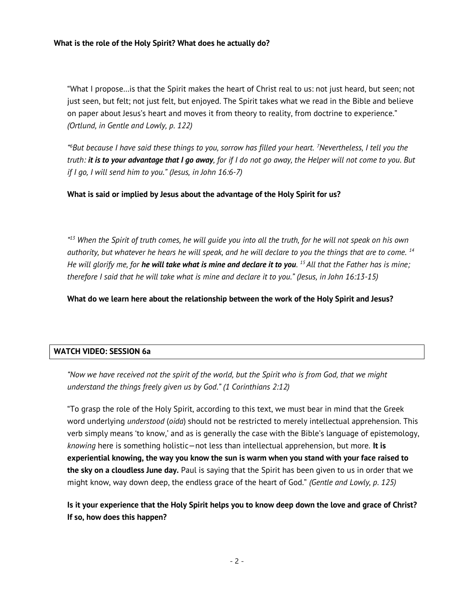## What is the role of the Holy Spirit? What does he actually do?

"What I propose…is that the Spirit makes the heart of Christ real to us: not just heard, but seen; not just seen, but felt; not just felt, but enjoyed. The Spirit takes what we read in the Bible and believe on paper about Jesus's heart and moves it from theory to reality, from doctrine to experience." (Ortlund, in Gentle and Lowly, p. 122)

" <sup>6</sup>But because I have said these things to you, sorrow has filled your heart. <sup>7</sup>Nevertheless, I tell you the truth: it is to your advantage that I go away, for if I do not go away, the Helper will not come to you. But if I go, I will send him to you." (Jesus, in John 16:6-7)

What is said or implied by Jesus about the advantage of the Holy Spirit for us?

"<sup>13</sup> When the Spirit of truth comes, he will guide you into all the truth, for he will not speak on his own authority, but whatever he hears he will speak, and he will declare to you the things that are to come.  $14$ He will glorify me, for **he will take what is mine and declare it to you**. <sup>15</sup> All that the Father has is mine; therefore I said that he will take what is mine and declare it to you." (Jesus, in John 16:13-15)

What do we learn here about the relationship between the work of the Holy Spirit and Jesus?

## WATCH VIDEO: SESSION 6a

"Now we have received not the spirit of the world, but the Spirit who is from God, that we might understand the things freely given us by God." (1 Corinthians 2:12)

"To grasp the role of the Holy Spirit, according to this text, we must bear in mind that the Greek word underlying *understood (oida*) should not be restricted to merely intellectual apprehension. This verb simply means 'to know,' and as is generally the case with the Bible's language of epistemology, knowing here is something holistic—not less than intellectual apprehension, but more. It is experiential knowing, the way you know the sun is warm when you stand with your face raised to the sky on a cloudless June day. Paul is saying that the Spirit has been given to us in order that we might know, way down deep, the endless grace of the heart of God." (Gentle and Lowly, p. 125)

Is it your experience that the Holy Spirit helps you to know deep down the love and grace of Christ? If so, how does this happen?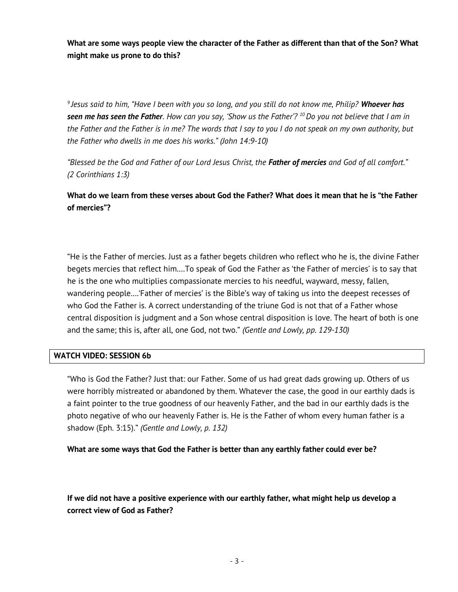What are some ways people view the character of the Father as different than that of the Son? What might make us prone to do this?

<sup>9</sup> Jesus said to him, "Have I been with you so long, and you still do not know me, Philip? **Whoever has** seen me has seen the Father. How can you say, 'Show us the Father'?  $^{10}$  Do you not believe that I am in the Father and the Father is in me? The words that I say to you I do not speak on my own authority, but the Father who dwells in me does his works." (John 14:9-10)

"Blessed be the God and Father of our Lord Jesus Christ, the Father of mercies and God of all comfort." (2 Corinthians 1:3)

What do we learn from these verses about God the Father? What does it mean that he is "the Father of mercies"?

"He is the Father of mercies. Just as a father begets children who reflect who he is, the divine Father begets mercies that reflect him.…To speak of God the Father as 'the Father of mercies' is to say that he is the one who multiplies compassionate mercies to his needful, wayward, messy, fallen, wandering people….'Father of mercies' is the Bible's way of taking us into the deepest recesses of who God the Father is. A correct understanding of the triune God is not that of a Father whose central disposition is judgment and a Son whose central disposition is love. The heart of both is one and the same; this is, after all, one God, not two." (Gentle and Lowly, pp. 129-130)

## WATCH VIDEO: SESSION 6b

"Who is God the Father? Just that: our Father. Some of us had great dads growing up. Others of us were horribly mistreated or abandoned by them. Whatever the case, the good in our earthly dads is a faint pointer to the true goodness of our heavenly Father, and the bad in our earthly dads is the photo negative of who our heavenly Father is. He is the Father of whom every human father is a shadow (Eph. 3:15)." (Gentle and Lowly, p. 132)

What are some ways that God the Father is better than any earthly father could ever be?

If we did not have a positive experience with our earthly father, what might help us develop a correct view of God as Father?